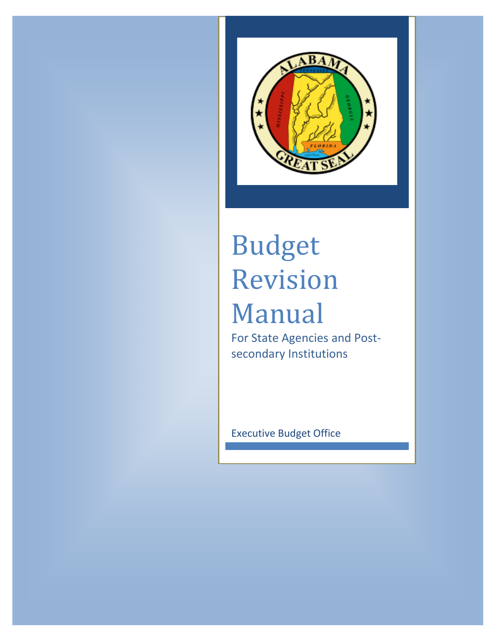

# Budget Revision Manual

For State Agencies and Postsecondary Institutions

Executive Budget Office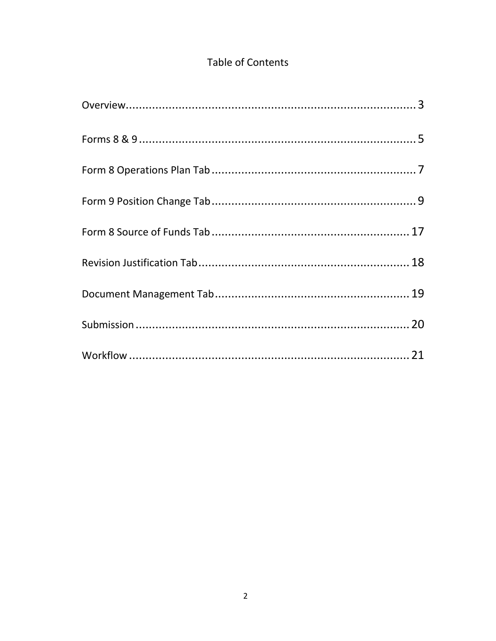# **Table of Contents**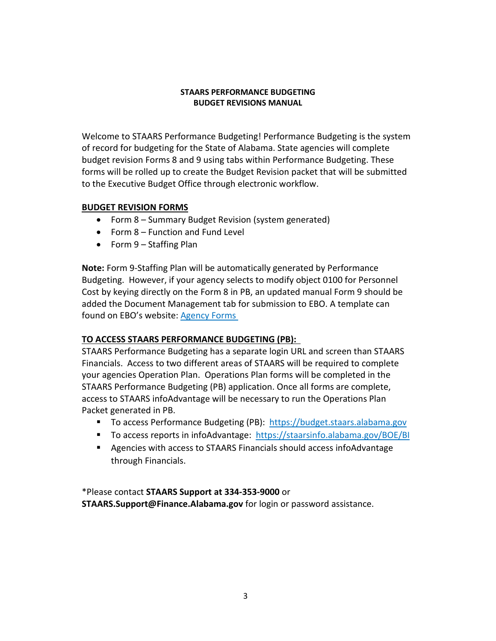# **STAARS PERFORMANCE BUDGETING BUDGET REVISIONS MANUAL**

Welcome to STAARS Performance Budgeting! Performance Budgeting is the system of record for budgeting for the State of Alabama. State agencies will complete budget revision Forms 8 and 9 using tabs within Performance Budgeting. These forms will be rolled up to create the Budget Revision packet that will be submitted to the Executive Budget Office through electronic workflow.

# **BUDGET REVISION FORMS**

- Form 8 Summary Budget Revision (system generated)
- Form 8 Function and Fund Level
- Form 9 Staffing Plan

**Note:** Form 9-Staffing Plan will be automatically generated by Performance Budgeting. However, if your agency selects to modify object 0100 for Personnel Cost by keying directly on the Form 8 in PB, an updated manual Form 9 should be added the Document Management tab for submission to EBO. A template can found on EBO's website: [Agency Forms](http://budget.alabama.gov/wp-content/uploads/sites/9/2018/07/FORMSAgency2019revised.xlsx)

# **TO ACCESS STAARS PERFORMANCE BUDGETING (PB):**

STAARS Performance Budgeting has a separate login URL and screen than STAARS Financials. Access to two different areas of STAARS will be required to complete your agencies Operation Plan. Operations Plan forms will be completed in the STAARS Performance Budgeting (PB) application. Once all forms are complete, access to STAARS infoAdvantage will be necessary to run the Operations Plan Packet generated in PB.

- To access Performance Budgeting (PB): https://budget.staars.alabama.gov
- To access reports in infoAdvantage: <https://staarsinfo.alabama.gov/BOE/BI>
- Agencies with access to STAARS Financials should access infoAdvantage through Financials.

\*Please contact **STAARS Support at 334-353-9000** or **STAARS.Support@Finance.Alabama.gov** for login or password assistance.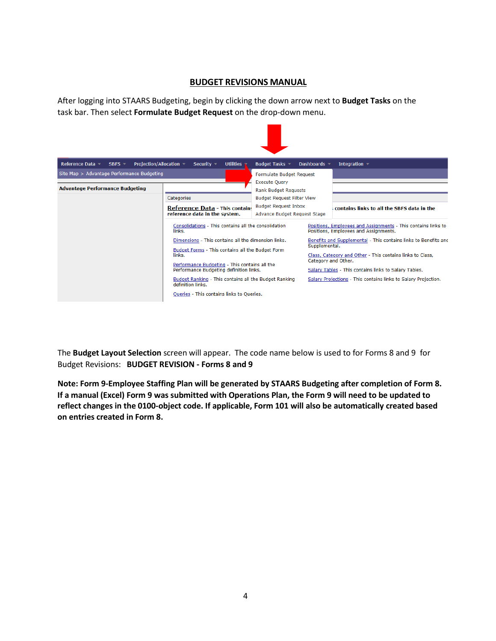# **BUDGET REVISIONS MANUAL**

After logging into STAARS Budgeting, begin by clicking the down arrow next to **Budget Tasks** on the task bar. Then select **Formulate Budget Request** on the drop-down menu.

| Reference Data -<br>$SBFS -$               | Projection/Allocation -<br>Utilities<br>Dashboards -<br>Integration =<br>Security $\sim$<br>Budget Tasks -                                                                                                                                                                  |                                                                                                                                                                                           |  |                                                                                                                                                                                                                                             |  |
|--------------------------------------------|-----------------------------------------------------------------------------------------------------------------------------------------------------------------------------------------------------------------------------------------------------------------------------|-------------------------------------------------------------------------------------------------------------------------------------------------------------------------------------------|--|---------------------------------------------------------------------------------------------------------------------------------------------------------------------------------------------------------------------------------------------|--|
| Site Map > Advantage Performance Budgeting |                                                                                                                                                                                                                                                                             | <b>Formulate Budget Request</b><br><b>Execute Ouery</b>                                                                                                                                   |  |                                                                                                                                                                                                                                             |  |
| <b>Advantage Performance Budgeting</b>     | Categories<br><b>Reference Data - This contains</b><br>reference data in the system.<br>Consolidations - This contains all the consolidation<br>links.<br>Dimensions - This contains all the dimension links.<br>Budget Forms - This contains all the Budget Form<br>links. | <b>Rank Budget Requests</b><br><b>Budget Request Filter View</b><br><b>Budget Request Inbox</b><br>Advance Budget Request Stage<br>Positions, Employees and Assignments.<br>Supplemental. |  | contains links to all the SBFS data in the<br>Positions, Employees and Assignments - This contains links to<br>Benefits and Supplemental - This contains links to Benefits and<br>Class, Category and Other - This contains links to Class, |  |
|                                            | Performance Budgeting - This contains all the<br>Performance Budgeting definition links.<br>Budget Ranking - This contains all the Budget Ranking<br>definition links.<br>Queries - This contains links to Queries.                                                         | <b>Carl Carl Ca</b>                                                                                                                                                                       |  | Category and Other.<br>Salary Tables - This contains links to Salary Tables.<br>Salary Projections - This contains links to Salary Projection.                                                                                              |  |

The **Budget Layout Selection** screen will appear. The code name below is used to for Forms 8 and 9 for Budget Revisions: **BUDGET REVISION - Forms 8 and 9**

**Note: Form 9-Employee Staffing Plan will be generated by STAARS Budgeting after completion of Form 8. If a manual (Excel) Form 9 was submitted with Operations Plan, the Form 9 will need to be updated to reflect changes in the 0100-object code. If applicable, Form 101 will also be automatically created based on entries created in Form 8.**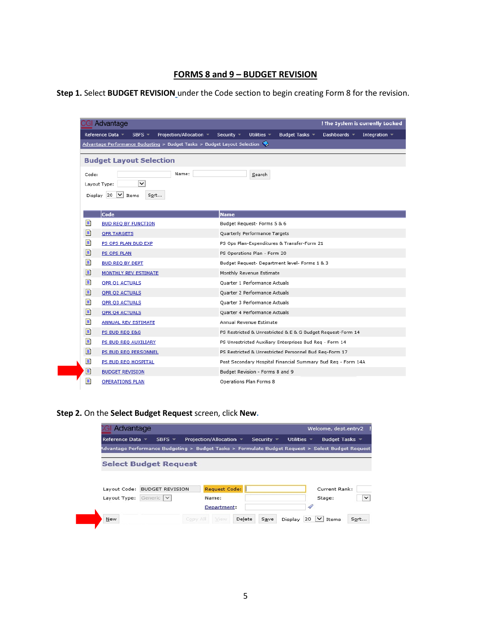# **FORMS 8 and 9 – BUDGET REVISION**

| Step 1. Select BUDGET REVISION under the Code section to begin creating Form 8 for the revision. |  |  |
|--------------------------------------------------------------------------------------------------|--|--|
|--------------------------------------------------------------------------------------------------|--|--|

|       | GI Advantage                                                             | ! The System is currently Locked                                                                     |  |  |
|-------|--------------------------------------------------------------------------|------------------------------------------------------------------------------------------------------|--|--|
|       | Reference Data ▼<br>Projection/Allocation =<br>SBFS $=$                  | Utilities $\sim$<br>Budget Tasks v<br>Dashboards $\sim$<br>Security $\sqrt{*}$<br>Integration $\sim$ |  |  |
|       | Advantage Performance Budgeting > Budget Tasks > Budget Layout Selection |                                                                                                      |  |  |
|       | <b>Budget Layout Selection</b>                                           |                                                                                                      |  |  |
|       |                                                                          |                                                                                                      |  |  |
| Code: | Name:                                                                    | Search                                                                                               |  |  |
|       | $\overline{\mathsf{v}}$<br>Layout Type:                                  |                                                                                                      |  |  |
|       | Display 20 $\vee$ Items<br>Sort                                          |                                                                                                      |  |  |
|       |                                                                          |                                                                                                      |  |  |
|       | Code                                                                     | <b>Name</b>                                                                                          |  |  |
| Đ     | <b>BUD REQ BY FUNCTION</b>                                               | Budget Request- Forms 5 & 6                                                                          |  |  |
| Đ     | <b>OPR TARGETS</b>                                                       | Quarterly Performance Targets                                                                        |  |  |
| D     | PS OPS PLAN BUD EXP                                                      | PS Ops Plan-Expenditures & Transfer-Form 21                                                          |  |  |
| Đ     | PS OPS PLAN                                                              | PS Operations Plan - Form 20                                                                         |  |  |
| D     | <b>BUD REO BY DEPT</b>                                                   | Budget Request- Department level- Forms 1 & 3                                                        |  |  |
| Đ     | MONTHLY REV ESTIMATE                                                     | Monthly Revenue Estimate                                                                             |  |  |
| Đ     | <b>QPR Q1 ACTUALS</b>                                                    | Quarter 1 Performance Actuals                                                                        |  |  |
| Ð     | <b>QPR Q2 ACTUALS</b>                                                    | Quarter 2 Performance Actuals                                                                        |  |  |
| Ð     | <b>QPR Q3 ACTUALS</b>                                                    | Quarter 3 Performance Actuals                                                                        |  |  |
| Đ     | <b>QPR Q4 ACTUALS</b>                                                    | Quarter 4 Performance Actuals                                                                        |  |  |
| Đ     | <b>ANNUAL REV ESTIMATE</b>                                               | Annual Revenue Estimate                                                                              |  |  |
| Đ     | PS BUD REQ E&G                                                           | PS Restricted & Unrestricted & E & G Budget Request-Form 14                                          |  |  |
| Đ     | PS BUD REQ AUXILIARY                                                     | PS Unrestricted Auxiliary Enterprises Bud Req - Form 14                                              |  |  |
| Đ     | PS BUD REQ PERSONNEL                                                     | PS Restricted & Unrestricted Personnel Bud Reg-Form 17                                               |  |  |
| Đ     | PS BUD REQ HOSPITAL                                                      | Post Secondary Hospital Financial Summary Bud Req - Form 14A                                         |  |  |
| Ð     | <b>BUDGET REVISION</b>                                                   | Budget Revision - Forms 8 and 9                                                                      |  |  |
|       |                                                                          |                                                                                                      |  |  |

**Step 2.** On the **Select Budget Request** screen, click **New.**

|                       | Advantage                    |                                                                                                   |                 |                  | Welcome, dept.entry2 |
|-----------------------|------------------------------|---------------------------------------------------------------------------------------------------|-----------------|------------------|----------------------|
| Reference Data $\sim$ | $SBFS =$                     | Projection/Allocation $\sim$                                                                      | Security $\tau$ | Utilities $\sim$ | Budget Tasks *       |
|                       |                              | Advantage Performance Budgeting > Budget Tasks > Formulate Budget Reguest > Select Budget Reguest |                 |                  |                      |
|                       |                              |                                                                                                   |                 |                  |                      |
|                       | <b>Select Budget Request</b> |                                                                                                   |                 |                  |                      |
|                       |                              |                                                                                                   |                 |                  |                      |
|                       |                              |                                                                                                   |                 |                  |                      |
|                       |                              |                                                                                                   |                 |                  |                      |
|                       |                              |                                                                                                   |                 |                  |                      |
|                       |                              |                                                                                                   |                 |                  |                      |
| Lavout Code:          | <b>BUDGET REVISION</b>       | Request Code:                                                                                     |                 |                  |                      |
| Layout Type:          | Generic V                    | Name:                                                                                             |                 |                  | Stage:               |
|                       |                              |                                                                                                   |                 |                  | Current Rank:        |
|                       |                              | Department:                                                                                       |                 | 4                |                      |
| New                   |                              | Copy All<br>View                                                                                  | Delete<br>Save  | 20<br>Display    | $\vee$ Items         |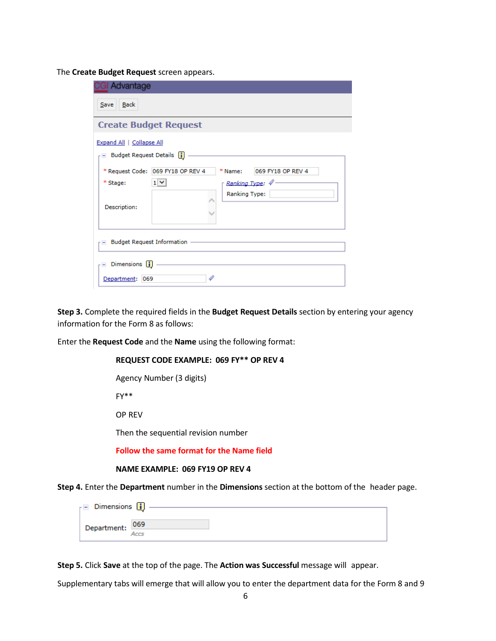The **Create Budget Request** screen appears.

| <b>GI Advantage</b>                                                                                                                            |
|------------------------------------------------------------------------------------------------------------------------------------------------|
| Back<br>Save                                                                                                                                   |
| <b>Create Budget Request</b>                                                                                                                   |
| <b>Expand All   Collapse All</b><br>Budget Request Details [1]                                                                                 |
| * Request Code: 069 FY18 OP REV 4<br>* Name: 069 FY18 OP REV 4<br>$1 -$<br>Ranking Type: 4<br>* Stage:<br><b>Ranking Type:</b><br>Description: |
| $\Box$ Budget Request Information $\Box$                                                                                                       |
| $\Box$ Dimensions $\Box$<br>$\mathscr{P}$<br>Department: 069                                                                                   |

**Step 3.** Complete the required fields in the **Budget Request Details** section by entering your agency information for the Form 8 as follows:

Enter the **Request Code** and the **Name** using the following format:

| REQUEST CODE EXAMPLE: 069 FY** OP REV 4 |
|-----------------------------------------|
| Agency Number (3 digits)                |
| FY**                                    |

OP REV

Then the sequential revision number

**Follow the same format for the Name field**

#### **NAME EXAMPLE: 069 FY19 OP REV 4**

**Step 4.** Enter the **Department** number in the **Dimensions** section at the bottom of the header page.

| $\overline{\phantom{a}}$ Dimensions $\overline{\phantom{a}}$ |  |
|--------------------------------------------------------------|--|
| Department: 069                                              |  |
|                                                              |  |

**Step 5.** Click **Save** at the top of the page. The **Action was Successful** message will appear.

Supplementary tabs will emerge that will allow you to enter the department data for the Form 8 and 9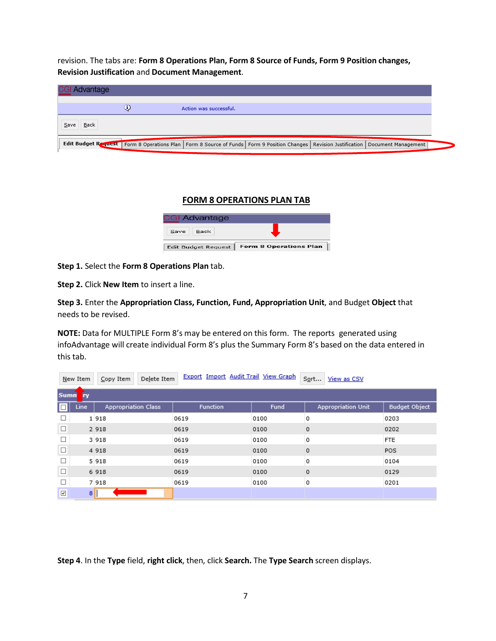revision. The tabs are: **Form 8 Operations Plan, Form 8 Source of Funds, Form 9 Position changes, Revision Justification** and **Document Management**.

|      | <b>CGI Advantage</b> |             |                                                                                                                                                |  |  |
|------|----------------------|-------------|------------------------------------------------------------------------------------------------------------------------------------------------|--|--|
|      |                      | $_{\rm 6)}$ | Action was successful.                                                                                                                         |  |  |
| Save | Back                 |             |                                                                                                                                                |  |  |
|      |                      |             |                                                                                                                                                |  |  |
|      |                      |             | Edit Budget Request   Form 8 Operations Plan   Form 8 Source of Funds   Form 9 Position Changes   Revision Justification   Document Management |  |  |

# **FORM 8 OPERATIONS PLAN TAB**

| <b>CGI Advantage</b>       |                               |
|----------------------------|-------------------------------|
| Back<br>Save               |                               |
| <b>Edit Budget Request</b> | <b>Form 8 Operations Plan</b> |

#### **Step 1.** Select the **Form 8 Operations Plan** tab.

**Step 2.** Click **New Item** to insert a line.

**Step 3.** Enter the **Appropriation Class, Function, Fund, Appropriation Unit**, and Budget **Object** that needs to be revised.

**NOTE:** Data for MULTIPLE Form 8's may be entered on this form. The reports generated using infoAdvantage will create individual Form 8's plus the Summary Form 8's based on the data entered in this tab.

|              | New Item       | Delete Item<br>Copy Item   | Export Import Audit Trail View Graph |      | Sort<br>View as CSV       |                      |
|--------------|----------------|----------------------------|--------------------------------------|------|---------------------------|----------------------|
| <b>Sumn</b>  | <b>ry</b>      |                            |                                      |      |                           |                      |
| $\Box'$      | <b>Line</b>    | <b>Appropriation Class</b> | <b>Function</b>                      | Fund | <b>Appropriation Unit</b> | <b>Budget Object</b> |
| $\Box$       |                | 1918                       | 0619                                 | 0100 | 0                         | 0203                 |
| $\Box$       |                | 2 9 1 8                    | 0619                                 | 0100 | 0                         | 0202                 |
| □            |                | 3918                       | 0619                                 | 0100 | 0                         | <b>FTE</b>           |
| $\Box$       |                | 4 9 1 8                    | 0619                                 | 0100 | $\circ$                   | POS                  |
| $\Box$       |                | 5 9 1 8                    | 0619                                 | 0100 | 0                         | 0104                 |
| $\Box$       |                | 6 9 1 8                    | 0619                                 | 0100 | $\circ$                   | 0129                 |
| $\Box$       |                | 7 9 18                     | 0619                                 | 0100 | 0                         | 0201                 |
| $\checkmark$ | 8 <sup>1</sup> |                            |                                      |      |                           |                      |

**Step 4**. In the **Type** field, **right click**, then, click **Search.** The **Type Search** screen displays.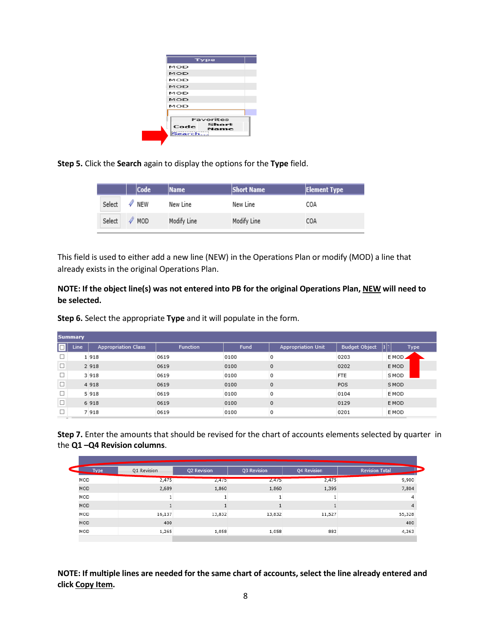|             | Type          |
|-------------|---------------|
| I MOD       |               |
| MOD         |               |
| IMOD.       |               |
| <b>IMOD</b> |               |
| <b>IMOD</b> |               |
| MOD         |               |
| <b>MOD</b>  |               |
|             |               |
|             | Favorites     |
| Code        | Short<br>Name |
| Search      |               |

**Step 5.** Click the **Search** again to display the options for the **Type** field.

|        | <b>Code</b>      | <b>Name</b> | <b>Short Name</b> | <b>Element Type</b> |
|--------|------------------|-------------|-------------------|---------------------|
| Select | NEW              | New Line    | New Line          | COA                 |
| Select | $\mathscr N$ MOD | Modify Line | Modify Line       | COA                 |

This field is used to either add a new line (NEW) in the Operations Plan or modify (MOD) a line that already exists in the original Operations Plan.

**NOTE: If the object line(s) was not entered into PB for the original Operations Plan, NEW will need to be selected.**

**Step 6.** Select the appropriate **Type** and it will populate in the form.

|        | <b>Summary</b> |                            |                 |      |                           |                      |                   |  |  |  |
|--------|----------------|----------------------------|-----------------|------|---------------------------|----------------------|-------------------|--|--|--|
| o      | Line           | <b>Appropriation Class</b> | <b>Function</b> | Fund | <b>Appropriation Unit</b> | <b>Budget Object</b> | hh<br><b>Type</b> |  |  |  |
|        |                | 1918                       | 0619            | 0100 | 0                         | 0203                 | E MOD⊿            |  |  |  |
| $\Box$ |                | 2 9 1 8                    | 0619            | 0100 | 0                         | 0202                 | E MOD             |  |  |  |
| □      |                | 3 9 1 8                    | 0619            | 0100 | 0                         | <b>FTE</b>           | <b>SMOD</b>       |  |  |  |
| $\Box$ |                | 4 9 1 8                    | 0619            | 0100 | 0                         | POS                  | S MOD             |  |  |  |
| □      |                | 5 9 1 8                    | 0619            | 0100 | 0                         | 0104                 | E MOD             |  |  |  |
| $\Box$ |                | 6 9 18                     | 0619            | 0100 | $\circ$                   | 0129                 | E MOD             |  |  |  |
| п      |                | 7 9 18                     | 0619            | 0100 | 0                         | 0201                 | E MOD             |  |  |  |

**Step 7.** Enter the amounts that should be revised for the chart of accounts elements selected by quarter in the **Q1 –Q4 Revision columns**.

| Type       | Q1 Revision | Q2 Revision | Q3 Revision | Q4 Revision | <b>Revision Total</b> |
|------------|-------------|-------------|-------------|-------------|-----------------------|
| MOD        | 2,475       | 2,4/5       | 2,4/5       | 2,475       | 9,900                 |
| <b>MOD</b> | 2,689       | 1,860       | 1,860       | 1,395       | 7,804                 |
| MOD        |             |             |             |             | 4                     |
| <b>MOD</b> |             |             |             |             | $\overline{4}$        |
| MOD        | 16,137      | 13,832      | 13,832      | 11,527      | 55,328                |
| MOD        | 400         |             |             |             | 400                   |
| MOD        | 1,265       | 1,058       | 1,058       | 882         | 4,263                 |

**NOTE: If multiple lines are needed for the same chart of accounts, select the line already entered and click Copy Item.**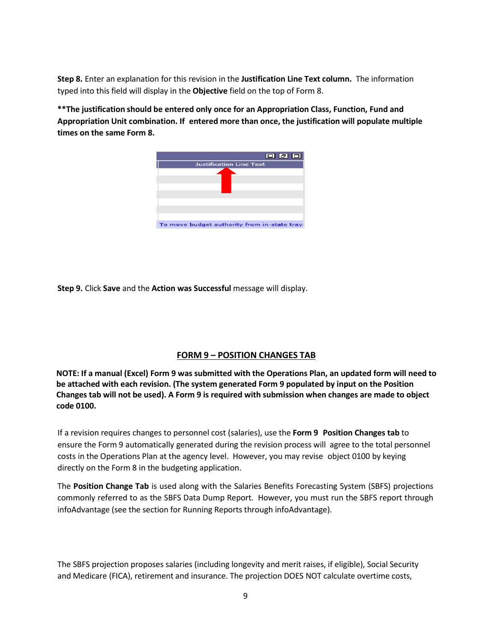**Step 8.** Enter an explanation for this revision in the **Justification Line Text column.** The information typed into this field will display in the **Objective** field on the top of Form 8.

**\*\*The justification should be entered only once for an Appropriation Class, Function, Fund and Appropriation Unit combination. If entered more than once, the justification will populate multiple times on the same Form 8.**



**Step 9.** Click **Save** and the **Action was Successful** message will display.

# **FORM 9 – POSITION CHANGES TAB**

**NOTE: If a manual (Excel) Form 9 was submitted with the Operations Plan, an updated form will need to be attached with each revision. (The system generated Form 9 populated by input on the Position Changes tab will not be used). A Form 9 is required with submission when changes are made to object code 0100.**

If a revision requires changes to personnel cost (salaries), use the **Form 9 Position Changes tab** to ensure the Form 9 automatically generated during the revision process will agree to the total personnel costs in the Operations Plan at the agency level. However, you may revise object 0100 by keying directly on the Form 8 in the budgeting application.

The **Position Change Tab** is used along with the Salaries Benefits Forecasting System (SBFS) projections commonly referred to as the SBFS Data Dump Report. However, you must run the SBFS report through infoAdvantage (see the section for Running Reports through infoAdvantage).

The SBFS projection proposes salaries (including longevity and merit raises, if eligible), Social Security and Medicare (FICA), retirement and insurance. The projection DOES NOT calculate overtime costs,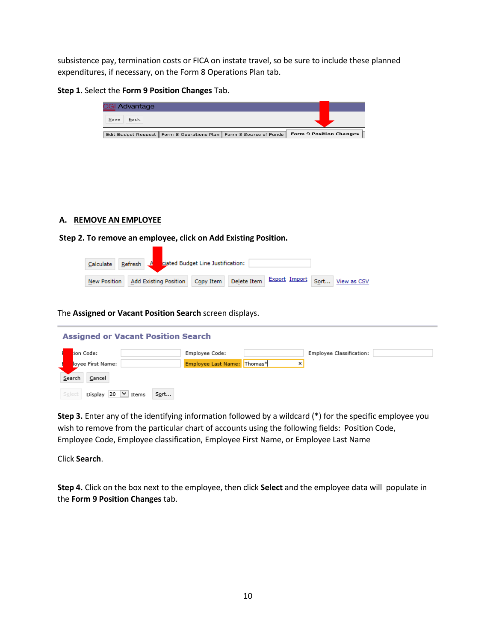subsistence pay, termination costs or FICA on instate travel, so be sure to include these planned expenditures, if necessary, on the Form 8 Operations Plan tab.

**Step 1.** Select the **Form 9 Position Changes** Tab.

| GI Advantage |                                                                       |                                |
|--------------|-----------------------------------------------------------------------|--------------------------------|
| Back<br>Save |                                                                       |                                |
|              | Edit Budget Request   Form 8 Operations Plan   Form 8 Source of Funds | <b>Form 9 Position Changes</b> |
|              |                                                                       |                                |

# **A. REMOVE AN EMPLOYEE**

**Step 2. To remove an employee, click on Add Existing Position.**

| Calculate   Refresh   $\overline{A}$   ciated Budget Line Justification: |  |  |  |  |                                                                                                     |  |
|--------------------------------------------------------------------------|--|--|--|--|-----------------------------------------------------------------------------------------------------|--|
|                                                                          |  |  |  |  | New Position   Add Existing Position   Copy Item   Delete Item   Export Import   Sort   View as CSV |  |

The **Assigned or Vacant Position Search** screen displays.

**College** 

| <b>Assigned or Vacant Position Search</b>       |                             |   |                          |  |  |  |  |  |  |
|-------------------------------------------------|-----------------------------|---|--------------------------|--|--|--|--|--|--|
| tion Code:                                      | Employee Code:              |   | Employee Classification: |  |  |  |  |  |  |
| loyee First Name:                               | Employee Last Name: Thomas* | × |                          |  |  |  |  |  |  |
| Search<br>Cancel                                |                             |   |                          |  |  |  |  |  |  |
| $\vee$<br>Display 20<br>Sort<br>Select<br>Items |                             |   |                          |  |  |  |  |  |  |

**Step 3.** Enter any of the identifying information followed by a wildcard (\*) for the specific employee you wish to remove from the particular chart of accounts using the following fields: Position Code, Employee Code, Employee classification, Employee First Name, or Employee Last Name

Click **Search**.

**Step 4.** Click on the box next to the employee, then click **Select** and the employee data will populate in the **Form 9 Position Changes** tab.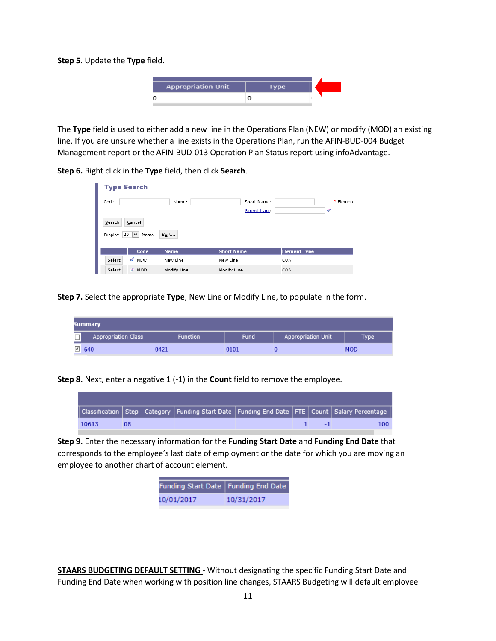**Step 5**. Update the **Type** field.



The **Type** field is used to either add a new line in the Operations Plan (NEW) or modify (MOD) an existing line. If you are unsure whether a line exists in the Operations Plan, run the AFIN-BUD-004 Budget Management report or the AFIN-BUD-013 Operation Plan Status report using infoAdvantage.

**Step 6.** Right click in the **Type** field, then click **Search**.

| <b>Type Search</b>                |             |                   |                     |           |
|-----------------------------------|-------------|-------------------|---------------------|-----------|
| Code:                             | Name:       | Short Name:       |                     | * Element |
|                                   |             | Parent Type:      |                     | 4         |
| Search<br>Cancel                  |             |                   |                     |           |
| $20 \mid v \mid$ Items<br>Display | Sort        |                   |                     |           |
|                                   |             |                   |                     |           |
| Code                              | Name        | <b>Short Name</b> | <b>Element Type</b> |           |
| $\mathscr{P}$ NEW<br>Select       | New Line    | New Line          | COA                 |           |
| $\mathscr{D}$ MOD<br>Select       | Modify Line | Modify Line       | COA                 |           |

**Step 7.** Select the appropriate **Type**, New Line or Modify Line, to populate in the form.

|   | Summary                    |                 |             |                           |             |  |  |  |  |  |  |
|---|----------------------------|-----------------|-------------|---------------------------|-------------|--|--|--|--|--|--|
| – | <b>Appropriation Class</b> | <b>Function</b> | <b>Fund</b> | <b>Appropriation Unit</b> | <b>Type</b> |  |  |  |  |  |  |
|   | $\sqrt{640}$               | 0421            | 0101        |                           | MOD         |  |  |  |  |  |  |

**Step 8.** Next, enter a negative 1 (-1) in the **Count** field to remove the employee.

|       |    | $\mid$ Classification $\mid$ Step $\mid$ Category $\mid$ Funding Start Date $\mid$ Funding End Date $\mid$ FTE $\mid$ Count $\mid$ Salary Percentage $\mid$ |  |     |
|-------|----|-------------------------------------------------------------------------------------------------------------------------------------------------------------|--|-----|
| 10613 | 08 |                                                                                                                                                             |  | 100 |

**Step 9.** Enter the necessary information for the **Funding Start Date** and **Funding End Date** that corresponds to the employee's last date of employment or the date for which you are moving an employee to another chart of account element.

| Funding Start Date   Funding End Date |            |
|---------------------------------------|------------|
| 10/01/2017                            | 10/31/2017 |

**STAARS BUDGETING DEFAULT SETTING** - Without designating the specific Funding Start Date and Funding End Date when working with position line changes, STAARS Budgeting will default employee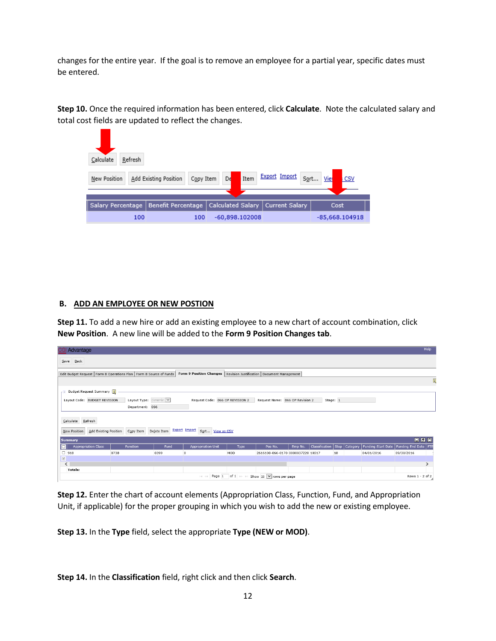changes for the entire year. If the goal is to remove an employee for a partial year, specific dates must be entered.

**Step 10.** Once the required information has been entered, click **Calculate**. Note the calculated salary and total cost fields are updated to reflect the changes.

| Calculate<br>Refresh |                                                                                                |                                    |  |                |  |  |  |  |  |
|----------------------|------------------------------------------------------------------------------------------------|------------------------------------|--|----------------|--|--|--|--|--|
| New Position         | <b>Export Import</b><br>Sort<br>Item<br>De<br>Vie<br>Add Existing Position<br>Copy Item<br>CSV |                                    |  |                |  |  |  |  |  |
|                      |                                                                                                |                                    |  |                |  |  |  |  |  |
| Salary Percentage    | <b>Benefit Percentage</b>                                                                      | Calculated Salary   Current Salary |  | Cost           |  |  |  |  |  |
| 100                  | 100                                                                                            | $-60,898,102008$                   |  | -85,668.104918 |  |  |  |  |  |

#### **B. ADD AN EMPLOYEE OR NEW POSTION**

**Step 11.** To add a new hire or add an existing employee to a new chart of account combination, click **New Position**. A new line will be added to the **Form 9 Position Changes tab**.

| <b>CGI Advantage</b>                                                                                                                            |                        |      |                                                        |      |                                                   |         |                       |          |                 |                           | Help                   |
|-------------------------------------------------------------------------------------------------------------------------------------------------|------------------------|------|--------------------------------------------------------|------|---------------------------------------------------|---------|-----------------------|----------|-----------------|---------------------------|------------------------|
| $Save$ Back                                                                                                                                     |                        |      |                                                        |      |                                                   |         |                       |          |                 |                           |                        |
| Form 9 Position Changes   Revision Justification   Document Management<br>Edit Budget Request   Form 8 Operations Plan   Form 8 Source of Funds |                        |      |                                                        |      |                                                   |         |                       |          |                 |                           |                        |
|                                                                                                                                                 |                        |      |                                                        |      |                                                   |         |                       |          |                 |                           | Ü                      |
| Budget Request Summary [1]                                                                                                                      |                        |      |                                                        |      |                                                   |         |                       |          |                 |                           |                        |
| Layout Code: BUDGET REVISION                                                                                                                    | Layout Type: Generic V |      | Request Code: 066 OP REVISION 2                        |      | Request Name: 066 OP Revision 2                   |         |                       | Stage: 1 |                 |                           |                        |
|                                                                                                                                                 | Department: 066        |      |                                                        |      |                                                   |         |                       |          |                 |                           |                        |
| Calculate Refresh                                                                                                                               |                        |      |                                                        |      |                                                   |         |                       |          |                 |                           |                        |
| Add Existing Position<br>New Position                                                                                                           | Copy Item Delete Item  |      | <b>Export Import</b><br>Sort View as CSV               |      |                                                   |         |                       |          |                 |                           |                        |
| Summary                                                                                                                                         |                        |      |                                                        |      |                                                   |         |                       |          |                 |                           | 回回回                    |
| O<br><b>Appropriation Class</b>                                                                                                                 | <b>Function</b>        | Fund | <b>Appropriation Unit</b>                              | Type | Pos No.                                           | Emp No. | <b>Classification</b> |          | Step   Category | <b>Funding Start Date</b> | Funding End Date   FTE |
| $\Box$ 918                                                                                                                                      | 0738                   | 0399 | $\circ$                                                | MOD  | 2616100-066-0170 0000037220 10517                 |         |                       | 18       |                 | 04/01/2016                | 09/30/2016             |
| $\boxed{\mathbf{z}}$                                                                                                                            |                        |      |                                                        |      |                                                   |         |                       |          |                 |                           | $\mathcal{E}$          |
| ≺<br><b>Totals:</b>                                                                                                                             |                        |      |                                                        |      |                                                   |         |                       |          |                 |                           |                        |
|                                                                                                                                                 |                        |      | Page 1<br>$\vert \prec \vert \cdots \prec \prec \vert$ |      | of 1 $\rightarrow$ 1 Show 20 $\vee$ rows per page |         |                       |          |                 |                           | Rows 1 - 2 of 2        |

**Step 12.** Enter the chart of account elements (Appropriation Class, Function, Fund, and Appropriation Unit, if applicable) for the proper grouping in which you wish to add the new or existing employee.

**Step 13.** In the **Type** field, select the appropriate **Type (NEW or MOD)**.

**Step 14.** In the **Classification** field, right click and then click **Search**.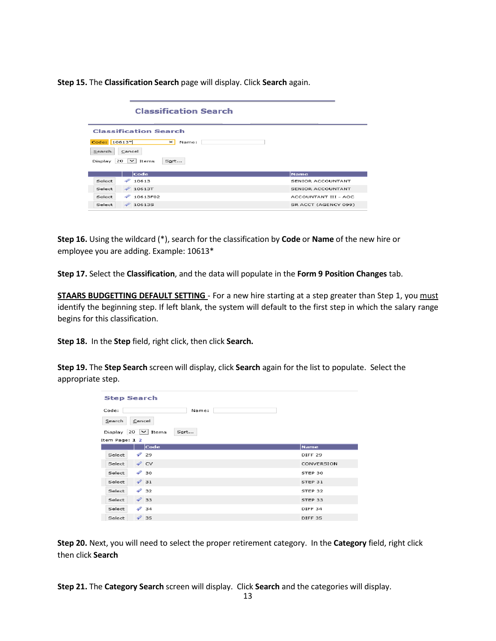**Step 15.** The **Classification Search** page will display. Click **Search** again.

|                                                                                                        | <b>Classification Search</b> |                      |  |  |
|--------------------------------------------------------------------------------------------------------|------------------------------|----------------------|--|--|
|                                                                                                        | <b>Classification Search</b> |                      |  |  |
| Code: 10613*<br>$\times$<br>Name:<br>Cancel<br>Search<br>$20 \nightharpoonup$ Items<br>Sort<br>Display |                              |                      |  |  |
|                                                                                                        | Code                         | <b>Name</b>          |  |  |
| D<br>Select                                                                                            | 10613                        | SENIOR ACCOUNTANT    |  |  |
| Select                                                                                                 | 20613T                       | SENIOR ACCOUNTANT    |  |  |
| ຈ<br>Select                                                                                            | 10613F02                     | ACCOUNTANT III - AOC |  |  |
| Select                                                                                                 | 2106135                      | SR ACCT (AGENCY 099) |  |  |

**Step 16.** Using the wildcard (\*), search for the classification by **Code** or **Name** of the new hire or employee you are adding. Example: 10613\*

**Step 17.** Select the **Classification**, and the data will populate in the **Form 9 Position Changes** tab.

**STAARS BUDGETTING DEFAULT SETTING** - For a new hire starting at a step greater than Step 1, you must identify the beginning step. If left blank, the system will default to the first step in which the salary range begins for this classification.

**Step 18.** In the **Step** field, right click, then click **Search.**

**Step 19.** The **Step Search** screen will display, click **Search** again for the list to populate. Select the appropriate step.

| <b>Step Search</b>                            |                    |  |  |  |  |  |
|-----------------------------------------------|--------------------|--|--|--|--|--|
| Code:<br>Name:                                |                    |  |  |  |  |  |
| Cancel<br>Search                              |                    |  |  |  |  |  |
| Display<br>$ 20 \rangle$ $\vee$ Items<br>Sort |                    |  |  |  |  |  |
| Item Page: 1 2                                |                    |  |  |  |  |  |
| Code                                          | <b>Name</b>        |  |  |  |  |  |
| $\mathscr{D}$ 29<br>Select                    | DIFF <sub>29</sub> |  |  |  |  |  |
| $\mathscr{D}$ CV<br>Select                    | CONVERSION         |  |  |  |  |  |
| $\mathcal{D}$ 30<br>Select                    | STEP 30            |  |  |  |  |  |
| $\mathscr{D}$ 31<br>Select                    | STEP 31            |  |  |  |  |  |
| $\mathscr{D}$ 32<br>Select                    | STEP 32            |  |  |  |  |  |
| $\mathscr{D}$ 33<br>Select                    | STEP 33            |  |  |  |  |  |
| $\mathcal{P}$ 34<br>Select                    | DIFF <sub>34</sub> |  |  |  |  |  |
| $\mathscr{D}$ 35<br>Select                    | <b>DIFF 35</b>     |  |  |  |  |  |

**Step 20.** Next, you will need to select the proper retirement category. In the **Category** field, right click then click **Search**

**Step 21.** The **Category Search** screen will display. Click **Search** and the categories will display.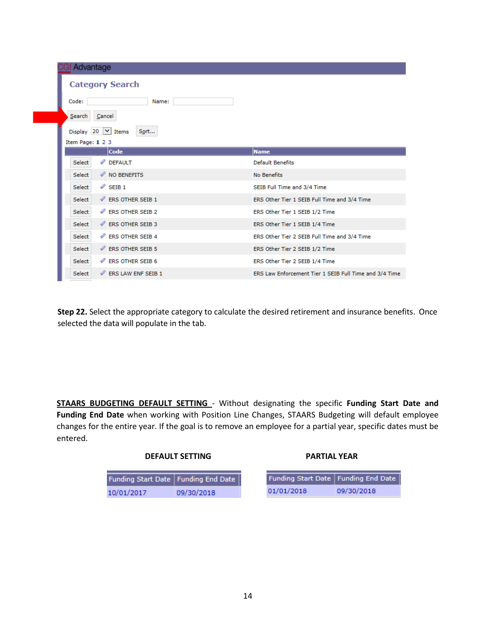| Advantage                                    |                                                        |
|----------------------------------------------|--------------------------------------------------------|
| <b>Category Search</b>                       |                                                        |
| Name:<br>Code:                               |                                                        |
| <b>Search</b><br>Cancel                      |                                                        |
| Display 20 $\vee$ Items<br>Sort              |                                                        |
| Item Page: 1 2 3                             |                                                        |
| Code                                         | <b>Name</b>                                            |
| <b><i><i>V</i></i></b> DEFAULT<br>Select     | <b>Default Benefits</b>                                |
| NO BENEFITS<br>Select                        | <b>No Benefits</b>                                     |
| $\mathscr{P}$ SEIB 1<br>Select               | SEIB Full Time and 3/4 Time                            |
| <b><i>V</i></b> ERS OTHER SEIB 1<br>Select   | ERS Other Tier 1 SEIB Full Time and 3/4 Time           |
| <b><i>A</i></b> ERS OTHER SEIB 2<br>Select   | ERS Other Tier 1 SEIB 1/2 Time                         |
| <b><i>V</i></b> ERS OTHER SEIB 3<br>Select   | ERS Other Tier 1 SEIB 1/4 Time                         |
| <b><i>P</i></b> ERS OTHER SEIB 4<br>Select   | ERS Other Tier 2 SEIB Full Time and 3/4 Time           |
| Select<br><b><i>V</i></b> ERS OTHER SEIB 5   | ERS Other Tier 2 SEIB 1/2 Time                         |
| <b><i>V</i></b> ERS OTHER SEIB 6<br>Select   | ERS Other Tier 2 SEIB 1/4 Time                         |
| Select<br><b><i>V</i></b> ERS LAW ENF SEIB 1 | ERS Law Enforcement Tier 1 SEIB Full Time and 3/4 Time |

**Step 22.** Select the appropriate category to calculate the desired retirement and insurance benefits. Once selected the data will populate in the tab.

**STAARS BUDGETING DEFAULT SETTING** - Without designating the specific **Funding Start Date and Funding End Date** when working with Position Line Changes, STAARS Budgeting will default employee changes for the entire year. If the goal is to remove an employee for a partial year, specific dates must be entered.

| Funding Start Date   Funding End Date |            |
|---------------------------------------|------------|
| 10/01/2017                            | 09/30/2018 |

| Funding Start Date   Funding End Date |            |
|---------------------------------------|------------|
| 01/01/2018                            | 09/30/2018 |

**PARTIAL YEAR**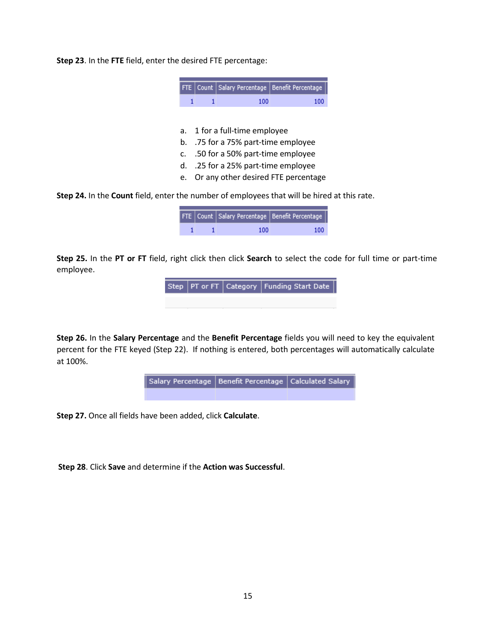**Step 23**. In the **FTE** field, enter the desired FTE percentage:

|    |                                  | FTE   Count   Salary Percentage   Benefit Percentage |     |  |  |
|----|----------------------------------|------------------------------------------------------|-----|--|--|
|    |                                  | 100                                                  | 100 |  |  |
|    |                                  |                                                      |     |  |  |
| a. |                                  | 1 for a full-time employee                           |     |  |  |
| b. | .75 for a 75% part-time employee |                                                      |     |  |  |
| C. |                                  | .50 for a 50% part-time employee                     |     |  |  |

- d. .25 for a 25% part-time employee
- e. Or any other desired FTE percentage

**Step 24.** In the **Count** field, enter the number of employees that will be hired at this rate.

|  |     | $\sqrt{ \text{FTE} }$ Count Salary Percentage Benefit Percentage |
|--|-----|------------------------------------------------------------------|
|  | 100 | 100                                                              |

**Step 25.** In the **PT or FT** field, right click then click **Search** to select the code for full time or part-time employee.

> Step | PT or FT Category | Funding Start Date

**Step 26.** In the **Salary Percentage** and the **Benefit Percentage** fields you will need to key the equivalent percent for the FTE keyed (Step 22). If nothing is entered, both percentages will automatically calculate at 100%.



**Step 27.** Once all fields have been added, click **Calculate**.

**Step 28**. Click **Save** and determine if the **Action was Successful**.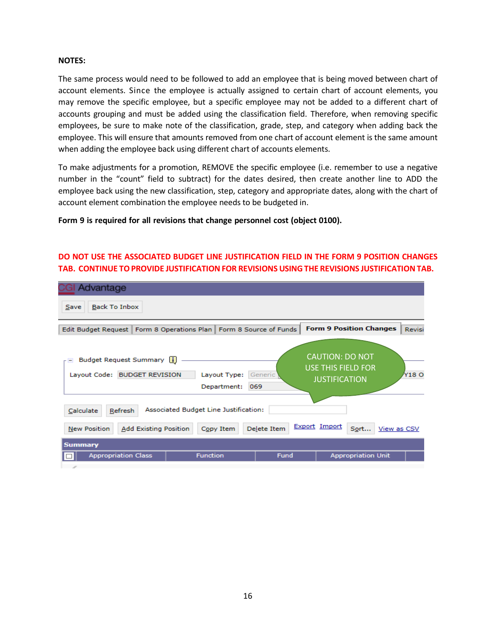#### **NOTES:**

The same process would need to be followed to add an employee that is being moved between chart of account elements. Since the employee is actually assigned to certain chart of account elements, you may remove the specific employee, but a specific employee may not be added to a different chart of accounts grouping and must be added using the classification field. Therefore, when removing specific employees, be sure to make note of the classification, grade, step, and category when adding back the employee. This will ensure that amounts removed from one chart of account element is the same amount when adding the employee back using different chart of accounts elements.

To make adjustments for a promotion, REMOVE the specific employee (i.e. remember to use a negative number in the "count" field to subtract) for the dates desired, then create another line to ADD the employee back using the new classification, step, category and appropriate dates, along with the chart of account element combination the employee needs to be budgeted in.

# **Form 9 is required for all revisions that change personnel cost (object 0100).**

# **DO NOT USE THE ASSOCIATED BUDGET LINE JUSTIFICATION FIELD IN THE FORM 9 POSITION CHANGES TAB. CONTINUE TOPROVIDE JUSTIFICATION FOR REVISIONS USINGTHE REVISIONS JUSTIFICATIONTAB.**

| Advantage                                                                                                                         |                |                                                                             |                           |
|-----------------------------------------------------------------------------------------------------------------------------------|----------------|-----------------------------------------------------------------------------|---------------------------|
| <b>Back To Inbox</b><br>Save                                                                                                      |                |                                                                             |                           |
| Edit Budget Request   Form 8 Operations Plan   Form 8 Source of Funds                                                             |                | <b>Form 9 Position Changes</b>                                              | Revisi                    |
| Budget Request Summary [i]<br>Layout Code: BUDGET REVISION<br>Layout Type:<br>Department:                                         | Generic<br>069 | <b>CAUTION: DO NOT</b><br><b>USE THIS FIELD FOR</b><br><b>JUSTIFICATION</b> | Y18 O                     |
| Associated Budget Line Justification:<br>Refresh<br>Calculate<br><b>Add Existing Position</b><br><b>New Position</b><br>Copy Item | Delete Item    | <b>Export Import</b>                                                        | Sort<br>View as CSV       |
| <b>Summary</b><br><b>Appropriation Class</b><br><b>Function</b>                                                                   | Fund           |                                                                             | <b>Appropriation Unit</b> |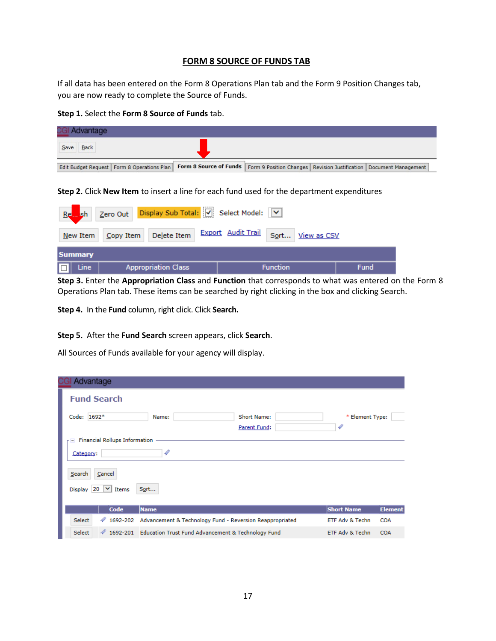# **FORM 8 SOURCE OF FUNDS TAB**

If all data has been entered on the Form 8 Operations Plan tab and the Form 9 Position Changes tab, you are now ready to complete the Source of Funds.

#### **Step 1.** Select the **Form 8 Source of Funds** tab.

| <b>CGI Advantage</b> |      |  |                                                                                                                                                |  |  |  |
|----------------------|------|--|------------------------------------------------------------------------------------------------------------------------------------------------|--|--|--|
| Save                 | Back |  |                                                                                                                                                |  |  |  |
|                      |      |  | Edit Budget Request   Form 8 Operations Plan   Form 8 Source of Funds   Form 9 Position Changes   Revision Justification   Document Management |  |  |  |

**Step 2.** Click **New Item** to insert a line for each fund used for the department expenditures

| sh Zero Out Display Sub Total: V Select Model: V<br>Re |                                          |                  |             |  |  |
|--------------------------------------------------------|------------------------------------------|------------------|-------------|--|--|
| $N$ ew Item                                            | Copy Item Delete Item Export Audit Trail | Sort View as CSV |             |  |  |
| <b>Summary</b>                                         |                                          |                  |             |  |  |
| Line<br>o                                              | <b>Appropriation Class</b>               | <b>Function</b>  | <b>Fund</b> |  |  |

**Step 3.** Enter the **Appropriation Class** and **Function** that corresponds to what was entered on the Form 8 Operations Plan tab. These items can be searched by right clicking in the box and clicking Search.

**Step 4.** In the **Fund** column, right click. Click **Search.**

**Step 5.** After the **Fund Search** screen appears, click **Search**.

All Sources of Funds available for your agency will display.

| Advantage                                           |                                                               |                                                          |                   |                |
|-----------------------------------------------------|---------------------------------------------------------------|----------------------------------------------------------|-------------------|----------------|
| <b>Fund Search</b>                                  |                                                               |                                                          |                   |                |
| Code: 1692*                                         | Name:                                                         | Short Name:<br>Parent Fund:                              | * Element Type:   |                |
| $\Gamma$ Financial Rollups Information<br>Category: |                                                               |                                                          |                   |                |
| Search<br>Cancel<br>20 $\vee$ Items<br>Display      | Sort                                                          |                                                          |                   |                |
| Code                                                | <b>Name</b>                                                   |                                                          | <b>Short Name</b> | <b>Element</b> |
| $\sqrt{1692-202}$<br>Select                         |                                                               | Advancement & Technology Fund - Reversion Reappropriated | ETF Adv & Techn   | <b>COA</b>     |
| Select                                              | 4 1692-201 Education Trust Fund Advancement & Technology Fund |                                                          | ETF Adv & Techn   | <b>COA</b>     |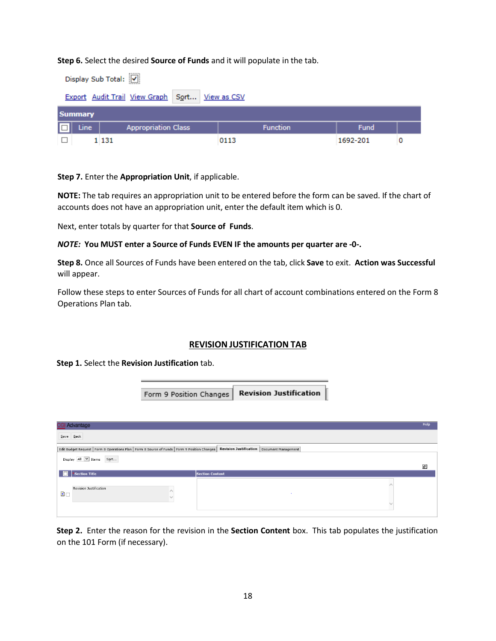**Step 6.** Select the desired **Source of Funds** and it will populate in the tab.

|    | Display Sub Total: V                           |                            |      |                 |          |  |  |  |  |
|----|------------------------------------------------|----------------------------|------|-----------------|----------|--|--|--|--|
|    | Export Audit Trail View Graph Sort View as CSV |                            |      |                 |          |  |  |  |  |
|    | <b>Summary</b>                                 |                            |      |                 |          |  |  |  |  |
| Ⅰ□ | Line                                           | <b>Appropriation Class</b> |      | <b>Function</b> | Fund     |  |  |  |  |
|    |                                                | 1 1 3 1                    | 0113 |                 | 1692-201 |  |  |  |  |

**Step 7.** Enter the **Appropriation Unit**, if applicable.

**NOTE:** The tab requires an appropriation unit to be entered before the form can be saved. If the chart of accounts does not have an appropriation unit, enter the default item which is 0.

Next, enter totals by quarter for that **Source of Funds**.

#### *NOTE:* **You MUST enter a Source of Funds EVEN IF the amounts per quarter are -0-.**

Form 9 Position Changes

**Step 8.** Once all Sources of Funds have been entered on the tab, click **Save** to exit. **Action was Successful**  will appear.

Follow these steps to enter Sources of Funds for all chart of account combinations entered on the Form 8 Operations Plan tab.

# **REVISION JUSTIFICATION TAB**

**Revision Justification** 

**Step 1.** Select the **Revision Justification** tab.

|                | CGI Advantage                                                                                   |                                              | Help |
|----------------|-------------------------------------------------------------------------------------------------|----------------------------------------------|------|
| $Save$ Back    |                                                                                                 |                                              |      |
|                | Edit Budget Request   Form 8 Operations Plan   Form 8 Source of Funds   Form 9 Position Changes | Revision Justification   Document Management |      |
|                | Display All V Items<br>$\mathsf{S}\underline{\mathsf{o}}$ rt $\!\! \ldots$                      |                                              |      |
|                |                                                                                                 |                                              | ø    |
|                | *Section Title                                                                                  | <b>Section Content</b>                       |      |
| $\blacksquare$ | Revision Justification<br>$\curvearrowright$<br>$\checkmark$                                    | $\sim$                                       |      |

**Step 2.** Enter the reason for the revision in the **Section Content** box. This tab populates the justification on the 101 Form (if necessary).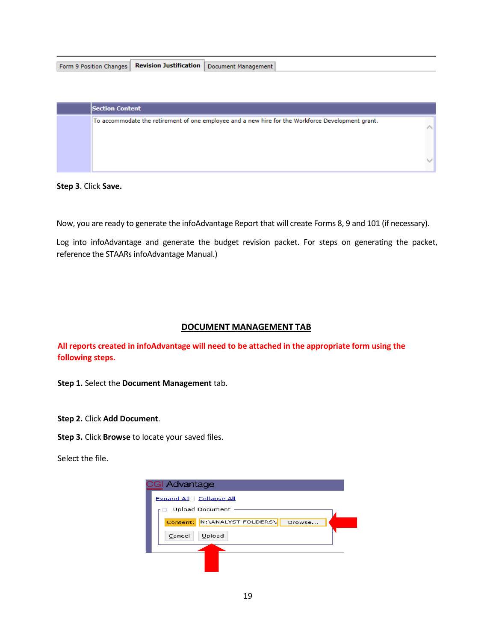| Form 9 Position Changes   Revision Justification   Document Management |
|------------------------------------------------------------------------|
|------------------------------------------------------------------------|

| <b>Section Content</b>                                                                            |  |
|---------------------------------------------------------------------------------------------------|--|
| To accommodate the retirement of one employee and a new hire for the Workforce Development grant. |  |
|                                                                                                   |  |

#### **Step 3**. Click **Save.**

Now, you are ready to generate the infoAdvantage Report that will create Forms 8, 9 and 101 (if necessary).

Log into infoAdvantage and generate the budget revision packet. For steps on generating the packet, reference the STAARs infoAdvantage Manual.)

# **DOCUMENT MANAGEMENT TAB**

**All reports created in infoAdvantage will need to be attached in the appropriate form using the following steps.**

**Step 1.** Select the **Document Management** tab.

**Step 2.** Click **Add Document**.

**Step 3.** Click **Browse** to locate your saved files.

Select the file.

| <b>CGI Advantage</b> |                           |        |  |
|----------------------|---------------------------|--------|--|
|                      | Expand All   Collapse All |        |  |
| н.                   | Upload Document           |        |  |
| Content:             | N: \ANALYST FOLDERS\      | Browse |  |
| Cancel               | Upload                    |        |  |
|                      |                           |        |  |
|                      |                           |        |  |
|                      |                           |        |  |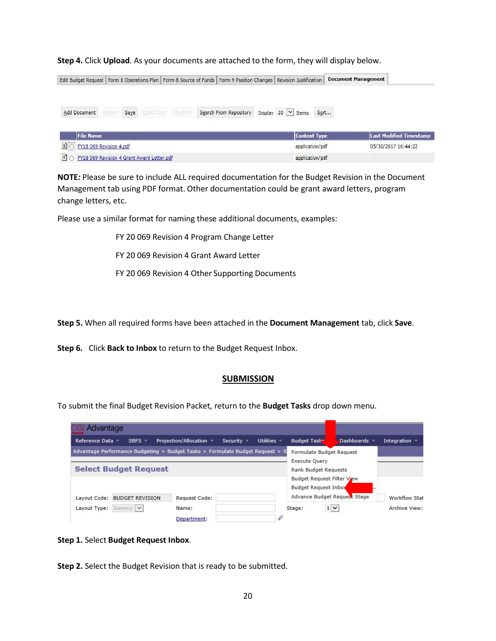**Step 4.** Click **Upload**. As your documents are attached to the form, they will display below.

| Edit Budget Request   Form 8 Operations Plan   Form 8 Source of Funds   Form 9 Position Changes   Revision Justification |  |      |  |                    |                        |                 |                         |                     | <b>Document Management</b> |                                |  |
|--------------------------------------------------------------------------------------------------------------------------|--|------|--|--------------------|------------------------|-----------------|-------------------------|---------------------|----------------------------|--------------------------------|--|
| Add Document                                                                                                             |  | Save |  | Check Out Check In | Search From Repository |                 | Display 20 $\vee$ Items |                     | Sort                       |                                |  |
| <b>File Name</b>                                                                                                         |  |      |  |                    |                        |                 |                         | <b>Content Type</b> |                            | <b>Last Modified Timestamp</b> |  |
| FY18 069 Revision 4.pdf                                                                                                  |  |      |  |                    |                        |                 |                         | application/pdf     |                            | 05/30/2017 16:44:22            |  |
| $\equiv$ (<br>FY18 069 Revision 4 Grant Award Letter.pdf                                                                 |  |      |  |                    |                        | application/pdf |                         |                     |                            |                                |  |

**NOTE***:* Please be sure to include ALL required documentation for the Budget Revision in the Document Management tab using PDF format. Other documentation could be grant award letters, program change letters, etc.

Please use a similar format for naming these additional documents, examples:

FY 20 069 Revision 4 Program Change Letter

FY 20 069 Revision 4 Grant Award Letter

FY 20 069 Revision 4 Other Supporting Documents

**Step 5.** When all required forms have been attached in the **Document Management** tab, click **Save**.

**Step 6.** Click **Back to Inbox** to return to the Budget Request Inbox.

#### **SUBMISSION**

To submit the final Budget Revision Packet, return to the **Budget Tasks** drop down menu.

| Advantage                                                                     |                         |            |               |                             |                              |                      |
|-------------------------------------------------------------------------------|-------------------------|------------|---------------|-----------------------------|------------------------------|----------------------|
| Reference Data<br>SBFS -                                                      | Projection/Allocation ▼ | Security - | Utilities $=$ | <b>Budget Tasks</b>         | $-Dashboards =$              | Integration          |
| Advantage Performance Budgeting > Budget Tasks > Formulate Budget Request > S |                         |            |               | <b>Execute Ouery</b>        | Formulate Budget Request     |                      |
| <b>Select Budget Request</b>                                                  |                         |            |               | <b>Rank Budget Requests</b> |                              |                      |
|                                                                               |                         |            |               | <b>Budget Request Inbox</b> | Budget Request Filter View   |                      |
| Layout Code: BUDGET REVISION                                                  | Request Code:           |            |               |                             | Advance Budget Request Stage | <b>Workflow Stat</b> |
| Generic V<br>Layout Type:                                                     | Name:<br>Department:    |            |               | Stage:                      | $1 \vee$                     | Archive View:        |

#### **Step 1.** Select **Budget Request Inbox**.

**Step 2.** Select the Budget Revision that is ready to be submitted.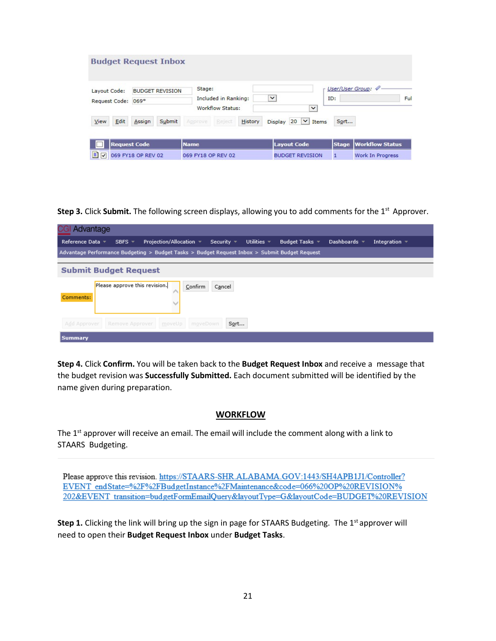|                                    | <b>Budget Request Inbox</b> |                                                    |                                                |              |                         |
|------------------------------------|-----------------------------|----------------------------------------------------|------------------------------------------------|--------------|-------------------------|
| Lavout Code:<br>Request Code: 069* | <b>BUDGET REVISION</b>      | Stage:<br>Included in Ranking:<br>Workflow Status: | $\checkmark$<br>$\checkmark$                   | ID:          | User/User Group:<br>Ful |
| Edit<br>View                       | Submit<br>Assign            | Reject<br>Approve                                  | $20 \times$ Items<br>History<br><b>Display</b> | Sort         |                         |
| <b>Request Code</b>                |                             | <b>Name</b>                                        | <b>Layout Code</b>                             | <b>Stage</b> | <b>Workflow Status</b>  |
| $\blacksquare$                     | 069 FY18 OP REV 02          | 069 FY18 OP REV 02                                 | <b>BUDGET REVISION</b>                         | 1            | Work In Progress        |

**Step 3.** Click **Submit.** The following screen displays, allowing you to add comments for the 1<sup>st</sup> Approver.

| <b>CGI Advantage</b>                                                                                                                                                 |
|----------------------------------------------------------------------------------------------------------------------------------------------------------------------|
| Projection/Allocation $\sim$<br>Utilities $\sim$<br>Reference Data ▼<br>$SBFS =$<br>Budget Tasks =<br>Dashboards $\sim$<br>Security $\sqrt{ }$<br>Integration $\sim$ |
| Advantage Performance Budgeting > Budget Tasks > Budget Request Inbox > Submit Budget Request                                                                        |
| <b>Submit Budget Request</b>                                                                                                                                         |
| Please approve this revision.<br>Confirm<br>Cancel<br>Comments:                                                                                                      |
| Add Approver<br>Remove Approver<br>Sort<br>moveUp<br>moveDown                                                                                                        |
| Summary                                                                                                                                                              |

**Step 4.** Click **Confirm.** You will be taken back to the **Budget Request Inbox** and receive a message that the budget revision was **Successfully Submitted.** Each document submitted will be identified by the name given during preparation.

#### **WORKFLOW**

The 1<sup>st</sup> approver will receive an email. The email will include the comment along with a link to STAARS Budgeting.

Please approve this revision. https://STAARS-SHR.ALABAMA.GOV:1443/SH4APB1J1/Controller? EVENT endState=%2F%2FBudgetInstance%2FMaintenance&code=066%20OP%20REVISION% 202&EVENT transition=budgetFormEmailQuery&layoutType=G&layoutCode=BUDGET%20REVISION

**Step 1.** Clicking the link will bring up the sign in page for STAARS Budgeting. The 1<sup>st</sup> approver will need to open their **Budget Request Inbox** under **Budget Tasks**.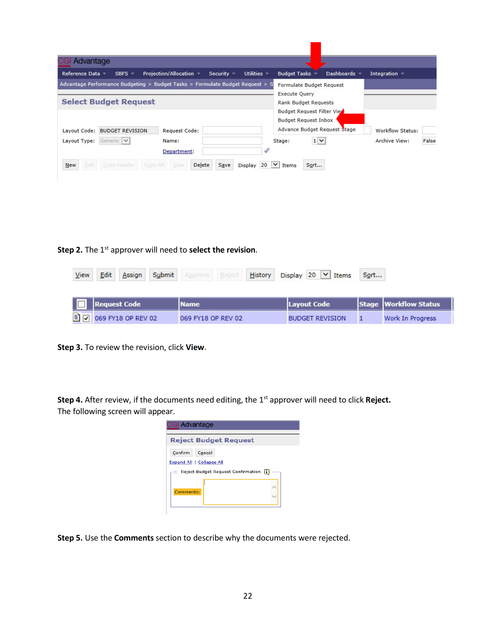| Advantage      |                                                                               |                                   |                   |                  |                                       |                              |                            |       |
|----------------|-------------------------------------------------------------------------------|-----------------------------------|-------------------|------------------|---------------------------------------|------------------------------|----------------------------|-------|
| Reference Data | $SBFS$ –                                                                      | Projection/Allocation =           | Security $\equiv$ | Utilities $\sim$ | <b>Budget Tasks</b>                   | Dashboards *                 | Integration $\blacksquare$ |       |
|                | Advantage Performance Budgeting > Budget Tasks > Formulate Budget Request > S |                                   |                   |                  | Formulate Budget Request              |                              |                            |       |
|                | <b>Select Budget Request</b>                                                  |                                   |                   |                  | Execute Query<br>Rank Budget Requests |                              |                            |       |
|                |                                                                               |                                   |                   |                  | Budget Request Filter Vie             |                              |                            |       |
|                |                                                                               |                                   |                   |                  | Budget Request Inbox                  |                              |                            |       |
| Layout Code:   | <b>BUDGET REVISION</b>                                                        | Request Code:                     |                   |                  |                                       | Advance Budget Request Stage | Workflow Status:           |       |
| Layout Type:   | Generic V                                                                     | Name:                             |                   |                  | Stage:                                | $1 \vee$                     | Archive View:              | False |
|                |                                                                               | Department:                       |                   |                  |                                       |                              |                            |       |
| Edit<br>New    | Copy Header                                                                   | Delete<br>Copy All<br><b>View</b> | Save              | Display 20       | $\check{~}$<br>Items                  | Sort                         |                            |       |

**Step 2.** The 1st approver will need to **select the revision**.

| View | Edit | Assign                           | Submit | Approve Reject     |  | History Display 20 $\vee$ Items | Sort |                         |
|------|------|----------------------------------|--------|--------------------|--|---------------------------------|------|-------------------------|
|      |      | <b>Request Code</b>              |        | <b>Name</b>        |  | Layout Code                     |      | Stage   Workflow Status |
|      |      | $\Box$ $\Box$ 069 FY18 OP REV 02 |        | 069 FY18 OP REV 02 |  | <b>BUDGET REVISION</b>          |      | Work In Progress        |

**Step 3.** To review the revision, click **View.**

**Step 4.** After review, if the documents need editing, the 1<sup>st</sup> approver will need to click Reject. The following screen will appear.

| <b>CGI Advantage</b>                           |
|------------------------------------------------|
| <b>Reject Budget Request</b>                   |
| Confirm<br>Cancel<br>Expand All   Collapse All |
| Reject Budget Request Confirmation<br>H        |
| Comments:                                      |
|                                                |

**Step 5.** Use the **Comments**section to describe why the documents were rejected.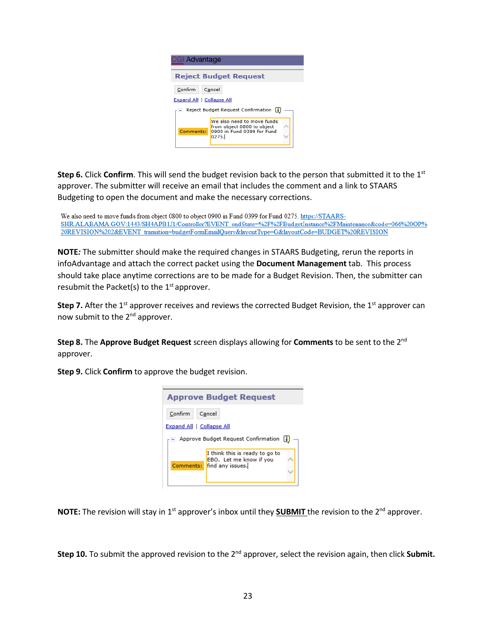

**Step 6.** Click **Confirm**. This will send the budget revision back to the person that submitted it to the 1st approver. The submitter will receive an email that includes the comment and a link to STAARS Budgeting to open the document and make the necessary corrections.

We also need to move funds from object 0800 to object 0900 in Fund 0399 for Fund 0275. https://STAARS-SHR.ALABAMA.GOV:1443/SH4APB1J1/Controller?EVENT endState=%2F%2FBudgetInstance%2FMaintenance&code=066%20OP% 20REVISION%202&EVENT transition=budgetFormEmailQuery&layoutType=G&layoutCode=BUDGET%20REVISION

**NOTE***:* The submitter should make the required changes in STAARS Budgeting, rerun the reports in infoAdvantage and attach the correct packet using the **Document Management** tab. This process should take place anytime corrections are to be made for a Budget Revision. Then, the submitter can resubmit the Packet(s) to the  $1<sup>st</sup>$  approver.

**Step 7.** After the 1<sup>st</sup> approver receives and reviews the corrected Budget Revision, the 1<sup>st</sup> approver can now submit to the 2<sup>nd</sup> approver.

**Step 8.** The **Approve Budget Request** screen displays allowing for **Comments** to be sent to the 2nd approver.

**Step 9.** Click **Confirm** to approve the budget revision.



**NOTE:** The revision will stay in 1<sup>st</sup> approver's inbox until they **SUBMIT** the revision to the 2<sup>nd</sup> approver.

**Step 10.** To submit the approved revision to the 2<sup>nd</sup> approver, select the revision again, then click Submit.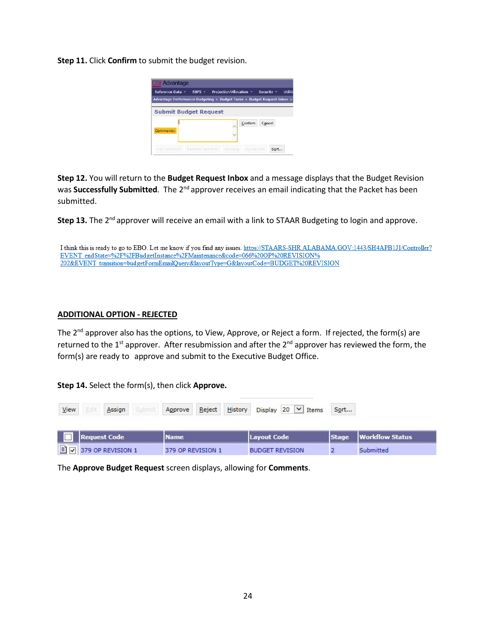**Step 11.** Click **Confirm** to submit the budget revision.



**Step 12.** You will return to the **Budget Request Inbox** and a message displays that the Budget Revision was **Successfully Submitted**. The 2nd approver receives an email indicating that the Packet has been submitted.

Step 13. The 2<sup>nd</sup> approver will receive an email with a link to STAAR Budgeting to login and approve.

I think this is ready to go to EBO. Let me know if you find any issues. https://STAARS-SHR.ALABAMA.GOV:1443/SH4APB1J1/Controller? EVENT endState=%2F%2FBudgetInstance%2FMaintenance&code=066%20OP%20REVISION% 202&EVENT transition=budgetFormEmailQuery&layoutType=G&layoutCode=BUDGET%20REVISION

#### **ADDITIONAL OPTION - REJECTED**

The 2<sup>nd</sup> approver also has the options, to View, Approve, or Reject a form. If rejected, the form(s) are returned to the 1<sup>st</sup> approver. After resubmission and after the 2<sup>nd</sup> approver has reviewed the form, the form(s) are ready to approve and submit to the Executive Budget Office.

**Step 14.** Select the form(s), then click **Approve.**

| View |                                           | Assign       |                   |             |                        |  |             | Submit Approve Reject History Display 20 V Items | Sort |                         |  |
|------|-------------------------------------------|--------------|-------------------|-------------|------------------------|--|-------------|--------------------------------------------------|------|-------------------------|--|
|      |                                           | Request Code |                   | <b>Name</b> |                        |  | Layout Code |                                                  |      | Stage   Workflow Status |  |
|      | $\boxed{1}$ $\boxed{9}$ 379 OP REVISION 1 |              | 379 OP REVISION 1 |             | <b>BUDGET REVISION</b> |  |             | Submitted                                        |      |                         |  |

The **Approve Budget Request** screen displays, allowing for **Comments**.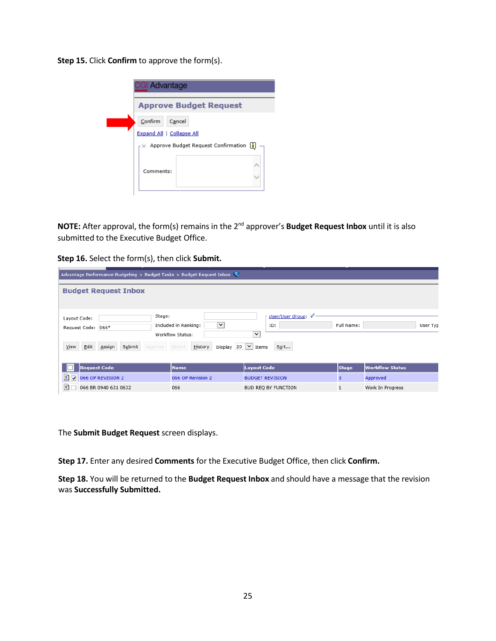**Step 15.** Click **Confirm** to approve the form(s).

| <b>CGI Advantage</b>                                                                    |  |  |  |  |  |  |  |
|-----------------------------------------------------------------------------------------|--|--|--|--|--|--|--|
| <b>Approve Budget Request</b>                                                           |  |  |  |  |  |  |  |
| Confirm<br>Cancel<br>Expand All   Collapse All<br>- Approve Budget Request Confirmation |  |  |  |  |  |  |  |
| Comments:                                                                               |  |  |  |  |  |  |  |

**NOTE:** After approval, the form(s) remains in the 2nd approver's **Budget Request Inbox** until it is also submitted to the Executive Budget Office.

| Step 16. Select the form(s), then click Submit. |  |  |
|-------------------------------------------------|--|--|
|-------------------------------------------------|--|--|

| Advantage Performance Budgeting > Budget Tasks > Budget Request Inbox                       |                                                                                                            |                                                           |                        |                        |  |  |  |  |
|---------------------------------------------------------------------------------------------|------------------------------------------------------------------------------------------------------------|-----------------------------------------------------------|------------------------|------------------------|--|--|--|--|
| <b>Budget Request Inbox</b>                                                                 |                                                                                                            |                                                           |                        |                        |  |  |  |  |
| Stage:<br>Layout Code:<br>Request Code: 066*<br>Edit<br>Assign<br>View<br>Submit<br>Approve | $\checkmark$<br>Included in Ranking:<br>Workflow Status:<br>Display 20 $\vee$<br><u>H</u> istory<br>Reject | User/User Group: 4<br>ID:<br>$\check{~}$<br>Sort<br>Items | Full Name:<br>User Typ |                        |  |  |  |  |
| <b>Request Code</b>                                                                         | <b>Name</b>                                                                                                | <b>Layout Code</b>                                        | <b>Stage</b>           | <b>Workflow Status</b> |  |  |  |  |
| $\Box$ $\Box$ 066 OP REVISION 2                                                             | 066 OP Revision 2                                                                                          | <b>BUDGET REVISION</b>                                    | з                      | Approved               |  |  |  |  |
| Ð<br>066 BR 0940 631 0632                                                                   | 066                                                                                                        | BUD REO BY FUNCTION                                       | 1                      | Work In Progress       |  |  |  |  |

The **Submit Budget Request** screen displays.

**Step 17.** Enter any desired **Comments** for the Executive Budget Office, then click **Confirm.**

**Step 18.** You will be returned to the **Budget Request Inbox** and should have a message that the revision was **Successfully Submitted.**